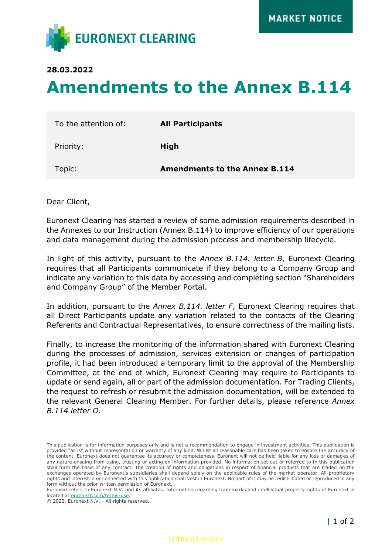

**28.03.2022**

## **Amendments to the Annex B.114**

| To the attention of: | <b>All Participants</b>              |
|----------------------|--------------------------------------|
| Priority:            | High                                 |
| Topic:               | <b>Amendments to the Annex B.114</b> |

Dear Client,

Euronext Clearing has started a review of some admission requirements described in the Annexes to our Instruction (Annex B.114) to improve efficiency of our operations and data management during the admission process and membership lifecycle.

In light of this activity, pursuant to the *Annex B.114. letter B*, Euronext Clearing requires that all Participants communicate if they belong to a Company Group and indicate any variation to this data by accessing and completing section "Shareholders and Company Group" of the Member Portal.

In addition, pursuant to the *Annex B.114. letter F*, Euronext Clearing requires that all Direct Participants update any variation related to the contacts of the Clearing Referents and Contractual Representatives, to ensure correctness of the mailing lists.

Finally, to increase the monitoring of the information shared with Euronext Clearing during the processes of admission, services extension or changes of participation profile, it had been introduced a temporary limit to the approval of the Membership Committee, at the end of which, Euronext Clearing may require to Participants to update or send again, all or part of the admission documentation. For Trading Clients, the request to refresh or resubmit the admission documentation, will be extended to the relevant General Clearing Member. For further details, please reference *Annex B.114 letter O*.

This publication is for information purposes only and is not a recommendation to engage in investment activities. This publication is provided "as is" without representation or warranty of any kind. Whilst all reasonable care has been taken to ensure the accuracy of the content, Euronext does not guarantee its accuracy or completeness. Euronext will not be held liable for any loss or damages of any nature ensuing from using, trusting or acting on information provided. No information set out or referred to in this publication shall form the basis of any contract. The creation of rights and obligations in respect of financial products that are traded on the exchanges operated by Euronext's subsidiaries shall depend solely on the applicable rules of the market operator. All proprietary rights and interest in or connected with this publication shall vest in Euronext. No part of it may be redistributed or reproduced in any form without the prior written permission of Euronext.

Euronext refers to Euronext N.V. and its affiliates. Information regarding trademarks and intellectual property rights of Euronext is located at [euronext.com/terms-use.](https://www.euronext.com/terms-use)

<sup>© 2022,</sup> Euronext N.V. - All rights reserved.